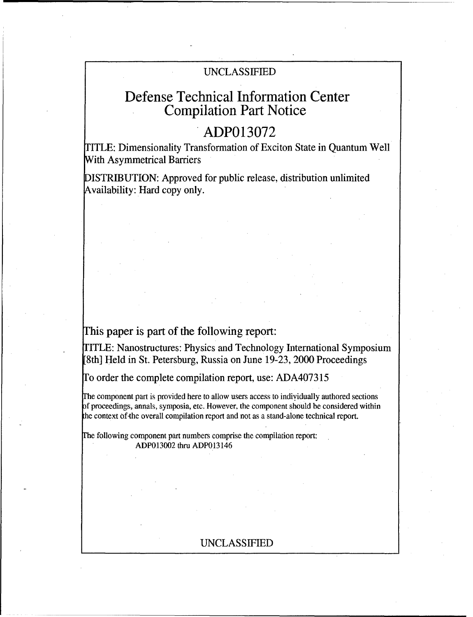## UNCLASSIFIED

# Defense Technical Information Center Compilation Part Notice

# **ADP013072**

TITLE: Dimensionality Transformation of Exciton State in Quantum Well With Asymmetrical Barriers

DISTRIBUTION: Approved for public release, distribution unlimited Availability: Hard copy only.

### This paper is part of the following report:

TITLE: Nanostructures: Physics and Technology International Symposium [8th] Held in St. Petersburg, Russia on June 19-23, 2000 Proceedings

To order the complete compilation report, use: ADA407315

I'he component part is provided here to allow users access to individually authored sections of proceedings, annals, symposia, etc. However, the component should be considered within he context of-the overall compilation report and not as a stand-alone technical report.

Fhe following component part numbers comprise the compilation report: ADP013002 thru ADP013146

### UNCLASSIFIED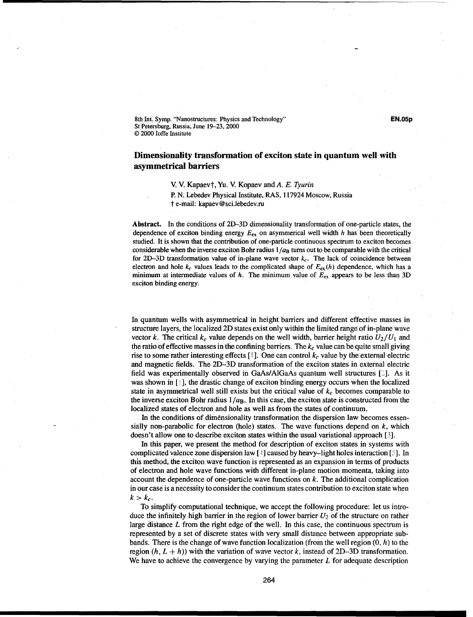8th Int. Symp. "Nanostructures: Physics and Technology" **EN.05p** St Petersburg, Russia, June 19-23, 2000 © 2000 loffe Institute

#### Dimensionality transformation of exciton state in quantum well with asymmetrical barriers

V. V. Kapaevt, Yu. V. Kopaev and A. *E. Tyurin*

P. N. Lebedev Physical Institute, RAS, 117924 Moscow, Russia t e-mail: kapaev@sci.lebedev.ru

Abstract. In the conditions of 2D-3D dimensionality transformation of one-particle states, the dependence of exciton binding energy  $E_{ex}$  on asymmerical well width h has been theoretically studied. It is shown that the contribution of one-particle continuous spectrum to exciton becomes considerable when the inverse exciton Bohr radius  $1/a_B$  turns out to be comparable with the critical for 2D-3D transformation value of in-plane wave vector  $k_c$ . The lack of coincidence between electron and hole  $k_c$  values leads to the complicated shape of  $E_{ex}(h)$  dependence, which has a minimum at intermediate values of h. The minimum value of  $E_{\text{ex}}$  appears to be less than 3D exciton binding energy.

In quantum wells with asymmetrical in height barriers and different effective masses in structure layers, the localized 2D states exist only within the limited range of in-plane wave vector k. The critical  $k_c$  value depends on the well width, barrier height ratio  $U_2/U_1$  and the ratio of effective masses in the confining barriers. The *kc* value can be quite small giving rise to some rather interesting effects  $[\cdot]$ . One can control  $k_c$  value by the external electric and magnetic fields. The 2D-3D transformation of the exciton states in external electric field was experimentally observed in GaAs/AlGaAs quantum well structures  $\lceil \frac{1}{n} \rceil$ . As it was shown in [*i*], the drastic change of exciton binding energy occurs when the localized state in asymmetrical well still exists but the critical value of  $k_c$  becomes comparable to the inverse exciton Bohr radius  $1/a_B$ . In this case, the exciton state is constructed from the. localized states of electron and hole as well as from the states of continuum.

In the conditions of dimensionality transformation the dispersion law becomes essensially non-parabolic for electron (hole) states. The wave functions depend on  $k$ , which doesn't allow one to describe exciton states within the usual variational approach **[3].**

In this paper, we present the method for description of exciton states in systems with complicated valence zone dispersion law **[1]** caused by heavy-light holes interaction **[4.** In this method, the exciton wave function is represented as an expansion in terms of products of electron and hole wave functions with different in-plane motion momenta, taking into account the dependence of one-particle wave functions on  $k$ . The additional complication in our case is a necessity to consider the continuum states contribution to exciton state when  $k > k_c$ .

To simplify computational technique, we accept the following procedure: let us introduce the infinitely high barrier in the region of lower barrier *U2* of the structure on rather large distance  $L$  from the right edge of the well. In this case, the continuous spectrum is represented by a set of discrete states with very small distance between appropriate subbands. There is the change of wave function localization (from the well region **(0,** h) to the region  $(h, L + h)$ ) with the variation of wave vector k, instead of 2D-3D transformation. We have to achieve the convergence by varying the parameter  $L$  for adequate description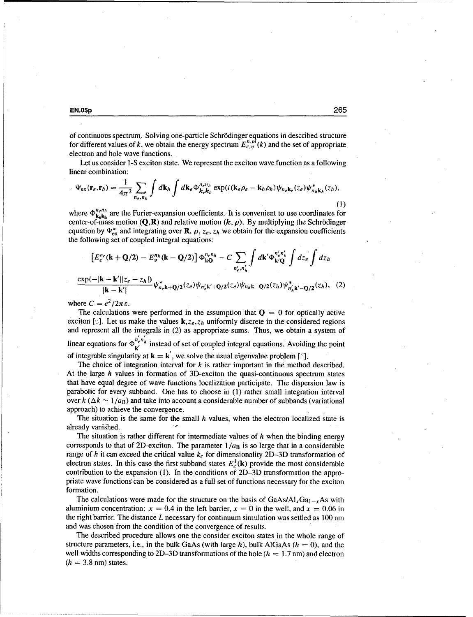**EN.0Sp 265**

of continuous spectrum.. Solving one-particle Schr6dinger equations in described structure for different values of k, we obtain the energy spectrum  $E_{c,v}^{n,m}(k)$  and the set of appropriate electron and hole wave functions.

Let us consider 1-S exciton state. We represent the exciton wave function as a following **linear combination:**<br> **If**  $\mathbf{A}$ 

$$
\Psi_{\rm ex}(\mathbf{r}_e, \mathbf{r}_h) = \frac{1}{4\pi^2} \sum_{n_e, n_h} \int d\mathbf{k}_h \int d\mathbf{k}_e \Phi_{\mathbf{k}_e, \mathbf{k}_h}^{n_e n_h} \exp(i(\mathbf{k}_e \rho_e - \mathbf{k}_h \rho_h)) \psi_{n_e \mathbf{k}_e}(z_e) \psi_{n_h \mathbf{k}_h}^*(z_h),
$$
\n(1)

where  $\Phi_{\mathbf{k}\epsilon\mathbf{k}_h}^{n_e n_h}$  are the Furier-expansion coefficients. It is convenient to use coordinates for center-of-mass motion  $(Q, R)$  and relative motion  $(k, \rho)$ . By multiplying the Schrödinger equation by  $\Psi_{ex}^{*}$  and integrating over **R**,  $\rho$ ,  $z_e$ ,  $z_h$  we obtain for the expansion coefficients the following set of coupled integral equations:

$$
\left[E_c^{n_e}(\mathbf{k} + \mathbf{Q}/2) - E_v^{n_h}(\mathbf{k} - \mathbf{Q}/2)\right] \Phi_{\mathbf{kQ}}^{n_e n_h} - C \sum_{n'_e, n'_h} \int d\mathbf{k}' \Phi_{\mathbf{k}'Q}^{n'_e n'_h} \int dz_e \int dz_h
$$
  

$$
\frac{\exp(-|\mathbf{k} - \mathbf{k}'||z_e - z_h|)}{|\mathbf{k} - \mathbf{k}'|} \psi_{n_e \mathbf{k} + \mathbf{Q}/2}^{*}(z_e) \psi_{n'_e \mathbf{k}' + \mathbf{Q}/2}(z_e) \psi_{n_h \mathbf{k} - \mathbf{Q}/2}(z_h) \psi_{n'_h \mathbf{k}' - \mathbf{Q}/2}^{*}(z_h), \quad (2)
$$

where  $C = e^2/2\pi\varepsilon$ .

The calculations were performed in the assumption that  $\mathbf{O} = 0$  for optically active exciton [3]. Let us make the values  $k, z_e, z_h$  uniformly discrete in the considered regions and represent all the integrals in (2) as appropriate sums. Thus, we obtain a system of linear equations for  $\Phi_{\mathbf{k}'}^{n'_{\mathbf{k}n'_{\mathbf{k}}}}$  instead of set of coupled integral equations. Avoiding the point of integrable singularity at  $\mathbf{k} = \mathbf{k}'$ , we solve the usual eigenvalue problem [5].

The choice of integration interval for  $k$  is rather important in the method described. At the large h values in formation of 3D-exciton the quasi-continuous spectrum states that have equal degree of wave functions localization participate. The dispersion law is parabolic for every subband. One has to choose in (1) rather small integration interval over  $k$  ( $\Delta k \sim 1/a_B$ ) and take into account a considerable number of subbands (variational approach) to achieve the convergence.

The situation is the same for the small  $h$  values, when the electron localized state is already vanished.

The situation is rather different for intermediate values of  $h$  when the binding energy corresponds to that of 2D-exciton. The parameter  $1/a_B$  is so large that in a considerable range of h it can exceed the critical value  $k_c$  for dimensionality 2D-3D transformation of electron states. In this case the first subband states  $E_c^1(\mathbf{k})$  provide the most considerable contribution to the expansion (1). In the conditions of 2D-3D transformation the appropriate wave functions can be considered as a full set of functions necessary for the exciton formation.

The calculations were made for the structure on the basis of  $GaAs/Al_xGa_{1-x}As$  with aluminium concentration:  $x = 0.4$  in the left barrier,  $x = 0$  in the well, and  $x = 0.06$  in the right barrier. The distance L necessary for continuum simulation was settled as  $100 \text{ nm}$ and was chosen from the condition of the convergence of results.

The described procedure allows one the consider exciton states in the whole range of structure parameters, i.e., in the bulk GaAs (with large  $h$ ), bulk AlGaAs ( $h = 0$ ), and the well widths corresponding to 2D-3D transformations of the hole  $(h = 1.7 \text{ nm})$  and electron  $(h = 3.8$  nm) states.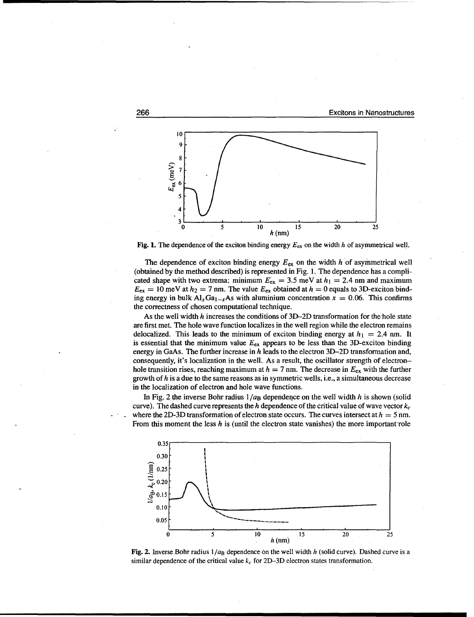

Fig. **1.** The dependence of the exciton binding energy *Eex* on the width h of asymmetrical well.

The dependence of exciton binding energy  $E_{ex}$  on the width h of asymmetrical well (obtained by the method described) is represented in Fig. 1. The dependence has a complicated shape with two extrema: minimum  $E_{ex} = 3.5$  meV at  $h_1 = 2.4$  nm and maximum  $E_{ex} = 10$  meV at  $h_2 = 7$  nm. The value  $E_{ex}$  obtained at  $h = 0$  equals to 3D-exciton binding energy in bulk  $A_xGa_{1-x}As$  with aluminium concentration  $x = 0.06$ . This confirms the correctness of chosen computational technique.

As the well width  $h$  increases the conditions of 3D-2D transformation for the hole state are first met. The hole wave function localizes in the well region while the electron remains delocalized. This leads to the minimum of exciton binding energy at  $h_1 = 2.4$  nm. It is essential that the minimum value  $E_{\text{ex}}$  appears to be less than the 3D-exciton binding energy in GaAs. The further increase in h leads to the electron 3D-2D transformation and, consequently, it's localization in the well. As a result, the oscillator strength of electronhole transition rises, reaching maximum at  $h = 7$  nm. The decrease in  $E_{ex}$  with the further growth of  $h$  is a due to the same reasons as in symmetric wells, i.e., a simultaneous decrease in the localization of electron and hole wave functions.

In Fig. 2 the inverse Bohr radius  $1/a_B$  dependence on the well width h is shown (solid curve). The dashed curve represents the h dependence of the critical value of wave vector  $k_c$ where the 2D-3D transformation of electron state occurs. The curves intersect at  $h = 5$  nm. From this moment the less  $h$  is (until the electron state vanishes) the more important role